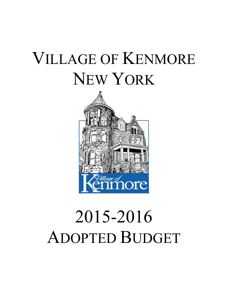# VILLAGE OF KENMORE NEW YORK



# 2015-2016 ADOPTED BUDGET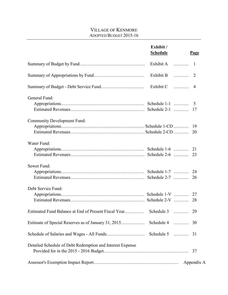#### VILLAGE OF KENMORE ADOPTED BUDGET 2015-16

|                                                           | Exhibit /<br><b>Schedule</b> | <u>Page</u>    |
|-----------------------------------------------------------|------------------------------|----------------|
|                                                           | Exhibit $A$                  | -1             |
|                                                           | Exhibit B $\ldots$           | $\overline{2}$ |
|                                                           | Exhibit $C$                  | $\overline{4}$ |
| General Fund:                                             |                              | 5<br>17        |
| <b>Community Development Fund:</b>                        |                              | 19<br>20       |
| Water Fund:                                               |                              | 21<br>23       |
| Sewer Fund:                                               |                              | 24<br>26       |
| Debt Service Fund:                                        |                              | 27<br>28       |
| Estimated Fund Balance at End of Present Fiscal Year      | Schedule 3                   | 29             |
| Estimate of Special Reserves as of January 31, 2015       | Schedule 4                   | 30             |
|                                                           |                              |                |
| Detailed Schedule of Debt Redemption and Interest Expense |                              | 37             |
|                                                           |                              | Appendix A     |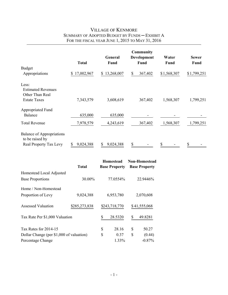## VILLAGE OF KENMORE SUMMARY OF ADOPTED BUDGET BY FUNDS ─ EXHIBIT A FOR THE FISCAL YEAR JUNE 1, 2015 TO MAY 31, 2016

|                                                       |                  | General          | Community<br>Development | Water       | <b>Sewer</b> |
|-------------------------------------------------------|------------------|------------------|--------------------------|-------------|--------------|
|                                                       | <b>Total</b>     | Fund             | Fund                     | Fund        | <b>Fund</b>  |
| <b>Budget</b>                                         |                  |                  |                          |             |              |
| Appropriations                                        | 17,002,967<br>\$ | 13,268,007<br>\$ | 367,402<br>\$            | \$1,568,307 | \$1,799,251  |
| Less:<br><b>Estimated Revenues</b><br>Other Than Real |                  |                  |                          |             |              |
| <b>Estate Taxes</b>                                   | 7,343,579        | 3,608,619        | 367,402                  | 1,568,307   | 1,799,251    |
| Appropriated Fund                                     |                  |                  |                          |             |              |
| <b>Balance</b>                                        | 635,000          | 635,000          |                          |             |              |
| <b>Total Revenue</b>                                  | 7,978,579        | 4,243,619        | 367,402                  | 1,568,307   | 1,799,251    |
| <b>Balance of Appropriations</b><br>to be raised by   |                  |                  |                          |             |              |
| Real Property Tax Levy                                | 9,024,388<br>S   | 9,024,388        | \$                       | \$          |              |

|                                          | <b>Total</b>  |    | Homestead<br><b>Base Property</b> |    | <b>Non-Homestead</b><br><b>Base Property</b> |
|------------------------------------------|---------------|----|-----------------------------------|----|----------------------------------------------|
| Homestead Local Adjusted                 |               |    |                                   |    |                                              |
| <b>Base Proportions</b>                  | 30.00%        |    | 77.0554%                          |    | 22.9446%                                     |
| Home / Non-Homestead                     |               |    |                                   |    |                                              |
| Proportion of Levy                       | 9,024,388     |    | 6,953,780                         |    | 2,070,608                                    |
| Assessed Valuation                       | \$285,273,838 |    | \$243,718,770                     |    | \$41,555,068                                 |
| Tax Rate Per \$1,000 Valuation           |               | S  | 28.5320                           | \$ | 49.8281                                      |
| Tax Rates for 2014-15                    |               | S  | 28.16                             | \$ | 50.27                                        |
| Dollar Change (per \$1,000 of valuation) |               | \$ | 0.37                              | \$ | (0.44)                                       |
| Percentage Change                        |               |    | 1.33%                             |    | $-0.87%$                                     |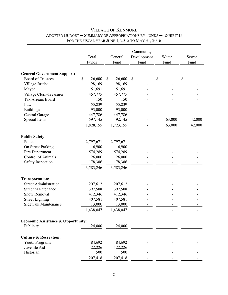|                                               | Total<br>Funds | General<br>Fund        | Community<br>Development<br>Fund | Water<br>Fund            | Sewer<br>Fund |
|-----------------------------------------------|----------------|------------------------|----------------------------------|--------------------------|---------------|
| <b>General Government Support:</b>            |                |                        |                                  |                          |               |
| <b>Board of Trustees</b>                      | \$<br>26,600   | $\mathbb{S}$<br>26,600 | \$                               | \$                       | \$            |
| Village Justice                               | 98,169         | 98,169                 |                                  |                          |               |
| Mayor                                         | 51,691         | 51,691                 |                                  |                          |               |
| Village Clerk-Treasurer                       | 457,775        | 457,775                |                                  |                          |               |
| <b>Tax Arrears Board</b>                      | 150            | 150                    |                                  |                          |               |
| Law                                           | 55,839         | 55,839                 |                                  |                          |               |
| <b>Buildings</b>                              | 93,000         | 93,000                 |                                  |                          |               |
| Central Garage                                | 447,786        | 447,786                |                                  |                          |               |
| Special Items                                 | 597,145        | 492,145                |                                  | 63,000                   | 42,000        |
|                                               | 1,828,155      | 1,723,155              |                                  | 63,000                   | 42,000        |
| <b>Public Safety:</b>                         |                |                        |                                  |                          |               |
| Police                                        | 2,797,671      | 2,797,671              |                                  |                          |               |
| On Street Parking                             | 6,900          | 6,900                  |                                  |                          |               |
| Fire Department                               | 574,289        | 574,289                |                                  |                          |               |
| <b>Control of Animals</b>                     | 26,000         | 26,000                 |                                  |                          |               |
| Safety Inspection                             | 178,386        | 178,386                |                                  |                          |               |
|                                               | 3,583,246      | 3,583,246              |                                  | $\overline{\phantom{a}}$ |               |
| <b>Transportation:</b>                        |                |                        |                                  |                          |               |
| <b>Street Administration</b>                  | 207,612        | 207,612                |                                  |                          |               |
| <b>Street Maintenance</b>                     | 397,508        | 397,508                |                                  |                          |               |
| Snow Removal                                  | 412,346        | 412,346                |                                  |                          |               |
| <b>Street Lighting</b>                        | 407,581        | 407,581                |                                  |                          |               |
| Sidewalk Maintenance                          | 13,000         | 13,000                 |                                  |                          |               |
|                                               | 1,438,047      | 1,438,047              | $\overline{\phantom{a}}$         | $\overline{\phantom{a}}$ |               |
| <b>Economic Assistance &amp; Opportunity:</b> |                |                        |                                  |                          |               |
| Publicity                                     | 24,000         | 24,000                 |                                  |                          |               |
| <b>Culture &amp; Recreation:</b>              |                |                        |                                  |                          |               |
| Youth Programs                                | 84,692         | 84,692                 |                                  |                          |               |
| Juvenile Aid                                  | 122,226        | 122,226                |                                  |                          |               |
| Historian                                     | 500            | 500                    |                                  |                          |               |
|                                               | 207,418        | 207,418                |                                  |                          |               |

#### VILLAGE OF KENMORE ADOPTED BUDGET ─ SUMMARY OF APPROPRIATIONS BY FUNDS ─ EXHIBIT B FOR THE FISCAL YEAR JUNE 1, 2015 TO MAY 31, 2016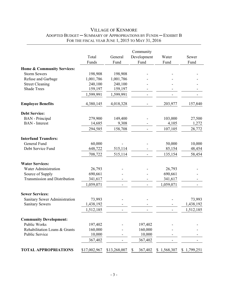|                                      | Total<br>Funds | General<br>Fund | Community<br>Development<br>Fund | Water<br>Fund | Sewer<br>Fund |
|--------------------------------------|----------------|-----------------|----------------------------------|---------------|---------------|
| Home & Community Services:           |                |                 |                                  |               |               |
| <b>Storm Sewers</b>                  | 198,908        | 198,908         |                                  |               |               |
| Refuse and Garbage                   | 1,001,786      | 1,001,786       |                                  |               |               |
| <b>Street Cleaning</b>               | 240,100        | 240,100         |                                  |               |               |
| <b>Shade Trees</b>                   | 159,197        | 159,197         |                                  |               |               |
|                                      | 1,599,991      | 1,599,991       |                                  |               |               |
| <b>Employee Benefits</b>             | 4,380,145      | 4,018,328       |                                  | 203,977       | 157,840       |
| <b>Debt Service:</b>                 |                |                 |                                  |               |               |
| <b>BAN</b> - Principal               | 279,900        | 149,400         |                                  | 103,000       | 27,500        |
| <b>BAN</b> - Interest                | 14,685         | 9,308           |                                  | 4,105         | 1,272         |
|                                      | 294,585        | 158,708         |                                  | 107,105       | 28,772        |
| <b>Interfund Transfers:</b>          |                |                 |                                  |               |               |
| General Fund                         | 60,000         |                 |                                  | 50,000        | 10,000        |
| Debt Service Fund                    | 648,722        | 515,114         |                                  | 85,154        | 48,454        |
|                                      | 708,722        | 515,114         |                                  | 135,154       | 58,454        |
| <b>Water Services:</b>               |                |                 |                                  |               |               |
| <b>Water Administration</b>          | 26,793         |                 |                                  | 26,793        |               |
| Source of Supply                     | 690,661        |                 |                                  | 690,661       |               |
| <b>Transmission and Distribution</b> | 341,617        |                 |                                  | 341,617       |               |
|                                      | 1,059,071      |                 |                                  | 1,059,071     |               |
| <b>Sewer Services:</b>               |                |                 |                                  |               |               |
| Sanitary Sewer Administration        | 73,993         |                 |                                  |               | 73,993        |
| <b>Sanitary Sewers</b>               | 1,438,192      |                 |                                  |               | 1,438,192     |
|                                      | 1,512,185      |                 |                                  |               | 1,512,185     |
| <b>Community Development:</b>        |                |                 |                                  |               |               |
| Public Works                         | 197,402        |                 | 197,402                          |               |               |
| Rehabilitation Loans & Grants        | 160,000        |                 | 160,000                          |               |               |
| Public Service                       | 10,000         |                 | 10,000                           |               |               |
|                                      | 367,402        |                 | 367,402                          |               |               |
| <b>TOTAL APPROPRIATIONS</b>          | \$17,002,967   | \$13,268,007    | 367,402<br>\$                    | \$1,568,307   | \$1,799,251   |

### VILLAGE OF KENMORE ADOPTED BUDGET ─ SUMMARY OF APPROPRIATIONS BY FUNDS ─ EXHIBIT B FOR THE FISCAL YEAR JUNE 1, 2015 TO MAY 31, 2016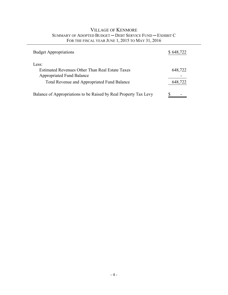| <b>VILLAGE OF KENMORE</b>                                 |
|-----------------------------------------------------------|
| SUMMARY OF ADOPTED BUDGET – DEBT SERVICE FUND – EXHIBIT C |
| FOR THE FISCAL YEAR JUNE 1, 2015 TO MAY 31, 2016          |

| <b>Budget Appropriations</b>                                                                                                                       | \$648,722          |
|----------------------------------------------------------------------------------------------------------------------------------------------------|--------------------|
| Less:<br>Estimated Revenues Other Than Real Estate Taxes<br><b>Appropriated Fund Balance</b><br><b>Total Revenue and Appropriated Fund Balance</b> | 648,722<br>648,722 |
| Balance of Appropriations to be Raised by Real Property Tax Levy                                                                                   |                    |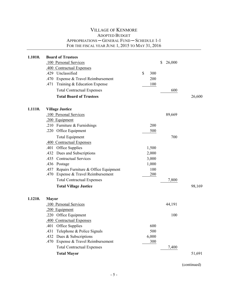| 1.1010. | <b>Board of Trustees</b><br>.100 Personal Services<br>.400 Contractual Expenses |           | \$<br>26,000 |        |
|---------|---------------------------------------------------------------------------------|-----------|--------------|--------|
|         | .429<br>Unclassified                                                            | \$<br>300 |              |        |
|         | Expense & Travel Reimbursement<br>.470                                          | 200       |              |        |
|         | .471<br>Training & Education Expense                                            | 100       |              |        |
|         | <b>Total Contractual Expenses</b>                                               |           | 600          |        |
|         | <b>Total Board of Trustees</b>                                                  |           |              | 26,600 |
| 1.1110. | <b>Village Justice</b>                                                          |           |              |        |
|         | .100 Personal Services                                                          |           | 89,669       |        |
|         | .200 Equipment                                                                  |           |              |        |
|         | Furniture & Furnishings<br>.210                                                 | 200       |              |        |
|         | .220 Office Equipment                                                           | 500       |              |        |
|         | <b>Total Equipment</b>                                                          |           | 700          |        |
|         | .400 Contractual Expenses                                                       |           |              |        |
|         | Office Supplies<br>.401                                                         | 1,500     |              |        |
|         | Dues and Subscriptions<br>.432                                                  | 2,000     |              |        |
|         | .435<br><b>Contractual Services</b>                                             | 3,000     |              |        |
|         | .436 Postage                                                                    | 1,000     |              |        |
|         | Repairs Furniture & Office Equipment<br>.457                                    | 100       |              |        |
|         | Expense & Travel Reimbursement<br>.470                                          | 200       |              |        |
|         | <b>Total Contractual Expenses</b>                                               |           | 7,800        |        |
|         | <b>Total Village Justice</b>                                                    |           |              | 98,169 |
| 1.1210. | <b>Mayor</b>                                                                    |           |              |        |
|         | .100 Personal Services                                                          |           | 44,191       |        |
|         | .200 Equipment                                                                  |           |              |        |
|         | .220 Office Equipment                                                           |           | 100          |        |
|         | .400 Contractual Expenses                                                       |           |              |        |
|         | Office Supplies<br>.401                                                         | 600       |              |        |
|         | .431<br>Telephone & Police Signals                                              | 500       |              |        |
|         | .432<br>Dues & Subscriptions                                                    | 6,000     |              |        |
|         | Expense & Travel Reimbursement<br>.470                                          | 300       |              |        |
|         | <b>Total Contractual Expenses</b>                                               |           | 7,400        |        |
|         | <b>Total Mayor</b>                                                              |           |              | 51,691 |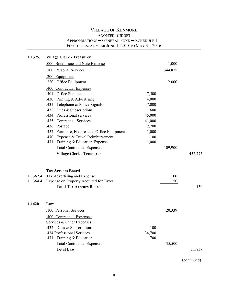| 1.1325.  | <b>Village Clerk - Treasurer</b>              |        |         |         |
|----------|-----------------------------------------------|--------|---------|---------|
|          | .000 Bond Issue and Note Expense              |        | 1,000   |         |
|          | .100 Personal Services                        |        | 344,875 |         |
|          | .200 Equipment                                |        |         |         |
|          | .220 Office Equipment                         |        | 2,000   |         |
|          | .400 Contractual Expenses                     |        |         |         |
|          | Office Supplies<br>.401                       | 7,500  |         |         |
|          | Printing & Advertising<br>.430                | 4,000  |         |         |
|          | Telephone & Police Signals<br>.431            | 7,000  |         |         |
|          | Dues & Subscriptions<br>.432                  | 600    |         |         |
|          | .434 Professional services                    | 45,000 |         |         |
|          | .435<br><b>Contractual Services</b>           | 41,000 |         |         |
|          | .436 Postage                                  | 2,700  |         |         |
|          | .457 Furniture, Fixtures and Office Equipment | 1,000  |         |         |
|          | .470 Expense & Travel Reimbursement           | 100    |         |         |
|          | .471 Training & Education Expense             | 1,000  |         |         |
|          | <b>Total Contractual Expenses</b>             |        | 109,900 |         |
|          | <b>Village Clerk - Treasurer</b>              |        |         | 457,775 |
|          |                                               |        |         |         |
|          | <b>Tax Arrears Board</b>                      |        |         |         |
| 1.1362.4 | Tax Advertising and Expense                   |        | 100     |         |
| 1.1364.4 | Expense on Property Acquired for Taxes        |        | 50      |         |
|          | <b>Total Tax Arrears Board</b>                |        |         | 150     |
|          |                                               |        |         |         |
|          |                                               |        |         |         |
| 1.1420   | Law                                           |        |         |         |
|          | .100 Personal Services                        |        | 20,339  |         |
|          | .400 Contractual Expenses:                    |        |         |         |
|          | Services & Other Expenses:                    |        |         |         |
|          | .432 Dues & Subscriptions                     | 100    |         |         |
|          | .434 Professional Services                    | 34,700 |         |         |
|          | Training & Education<br>.471                  | 700    |         |         |
|          | <b>Total Contractual Expenses</b>             |        | 35,500  |         |
|          | <b>Total Law</b>                              |        |         | 55,839  |
|          |                                               |        |         |         |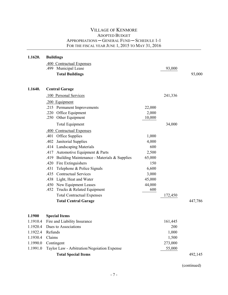| 1.1620.              | <b>Buildings</b>                                    |        |              |         |
|----------------------|-----------------------------------------------------|--------|--------------|---------|
|                      | .400 Contractual Expenses                           |        |              |         |
|                      | Municipal Lease<br>.499                             |        | 93,000       |         |
|                      | <b>Total Buildings</b>                              |        |              | 93,000  |
|                      |                                                     |        |              |         |
| 1.1640.              | <b>Central Garage</b>                               |        |              |         |
|                      | .100 Personal Services                              |        | 241,336      |         |
|                      | .200 Equipment                                      |        |              |         |
|                      | .215 Permanent Improvements                         | 22,000 |              |         |
|                      | .220<br>Office Equipment                            | 2,000  |              |         |
|                      | Other Equipment<br>.250                             | 10,000 |              |         |
|                      | <b>Total Equipment</b>                              |        | 34,000       |         |
|                      | .400 Contractual Expenses                           |        |              |         |
|                      | .401<br>Office Supplies                             | 1,000  |              |         |
|                      | Janitorial Supplies<br>.402                         | 4,000  |              |         |
|                      | <b>Landscaping Materials</b><br>.414                | 600    |              |         |
|                      | Automotive Equipment & Parts<br>.417                | 2,500  |              |         |
|                      | Building Maintenance - Materials & Supplies<br>.419 | 65,000 |              |         |
|                      | Fire Extinguishers<br>.420                          | 150    |              |         |
|                      | Telephone & Police Signals<br>.431                  | 6,600  |              |         |
|                      | <b>Contractual Services</b><br>.435                 | 3,000  |              |         |
|                      | .438 Light, Heat and Water                          | 45,000 |              |         |
|                      | .450 New Equipment Leases                           | 44,000 |              |         |
|                      | .452 Trucks & Related Equipment                     | 600    |              |         |
|                      | <b>Total Contractual Expenses</b>                   |        | 172,450      |         |
|                      | <b>Total Central Garage</b>                         |        |              | 447,786 |
|                      |                                                     |        |              |         |
| 1.1900               | <b>Special Items</b>                                |        |              |         |
|                      | 1.1910.4 Fire and Liability Insurance               |        | 161,445      |         |
| 1.1920.4<br>1.1922.4 | Dues to Associations<br>Refunds                     |        | 200<br>1,000 |         |
| 1.1930.4             | Claims                                              |        | 1,500        |         |
| 1.1990.0             | Contingent                                          |        | 273,000      |         |
| 1.1991.0             | Taylor Law - Arbitration/Negoiation Expense         |        | 55,000       |         |
|                      |                                                     |        |              |         |
|                      | <b>Total Special Items</b>                          |        |              | 492,145 |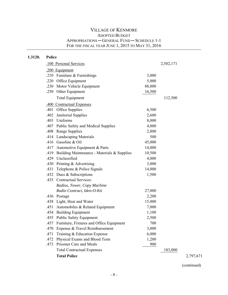| 1.3120. | Police |                                             |        |           |           |
|---------|--------|---------------------------------------------|--------|-----------|-----------|
|         |        | .100 Personal Services                      |        | 2,502,171 |           |
|         |        | .200 Equipment                              |        |           |           |
|         |        | .210 Furniture $&$ Furnishings              | 3,000  |           |           |
|         |        | .220 Office Equipment                       | 5,000  |           |           |
|         | .230   | Motor Vehicle Equipment                     | 88,000 |           |           |
|         |        | .250 Other Equipment                        | 16,500 |           |           |
|         |        | <b>Total Equipment</b>                      |        | 112,500   |           |
|         |        | .400 Contractual Expenses                   |        |           |           |
|         |        | .401 Office Supplies                        | 6,500  |           |           |
|         | .402   | Janitorial Supplies                         | 2,600  |           |           |
|         | .403   | Uniforms                                    | 8,000  |           |           |
|         | .407   | <b>Public Safety and Medical Supplies</b>   | 4,000  |           |           |
|         | .408   | <b>Range Supplies</b>                       | 2,800  |           |           |
|         |        | .414 Landscaping Materials                  | 500    |           |           |
|         |        | .416 Gasoline & Oil                         | 45,000 |           |           |
|         | .417   | Automotive Equipment & Parts                | 14,000 |           |           |
|         | .419   | Building Maintenance - Materials & Supplies | 10,500 |           |           |
|         | .429   | Unclassified                                | 4,000  |           |           |
|         | .430   | Printing & Advertising                      | 3,000  |           |           |
|         | .431   | Telephone & Police Signals                  | 14,000 |           |           |
|         |        | .432 Dues & Subscriptions                   | 1,500  |           |           |
|         |        | .435 Contractual Services:                  |        |           |           |
|         |        | Radios, Tower, Copy Machine                 |        |           |           |
|         |        | Radio Contract, Iden-O-Kit                  | 27,000 |           |           |
|         |        | .436 Postage                                | 2,200  |           |           |
|         | .438   | Light, Heat and Water                       | 15,000 |           |           |
|         | .451   | Automobiles & Related Equipment             | 7,000  |           |           |
|         | .454   | <b>Building Equipment</b>                   | 1,100  |           |           |
|         |        | .455 Public Safety Equipment                | 2,500  |           |           |
|         | .457   | Furniture, Fixtures and Office Equipment    | 700    |           |           |
|         | .470   | Expense & Travel Reimbursement              | 3,000  |           |           |
|         | .471   | Training & Education Expense                | 6,000  |           |           |
|         | .472   | Physical Exams and Blood Tests              | 1,200  |           |           |
|         | .473   | Prisoner Care and Meals                     | 900    |           |           |
|         |        | <b>Total Contractual Expenses</b>           |        | 183,000   |           |
|         |        | <b>Total Police</b>                         |        |           | 2,797,671 |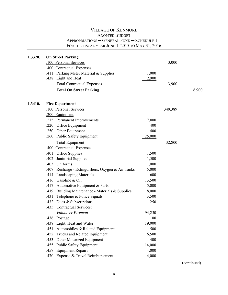| 1.3320. | <b>On Street Parking</b><br>.100 Personal Services<br>.400 Contractual Expenses |                | 3,000   |       |
|---------|---------------------------------------------------------------------------------|----------------|---------|-------|
|         | Parking Meter Material & Supplies<br>.411<br>.438 Light and Heat                | 1,000<br>2,900 |         |       |
|         | <b>Total Contractual Expenses</b>                                               |                | 3,900   |       |
|         | <b>Total On Street Parking</b>                                                  |                |         | 6,900 |
| 1.3410. | <b>Fire Department</b>                                                          |                |         |       |
|         | .100 Personal Services                                                          |                | 349,389 |       |
|         | .200 Equipment                                                                  |                |         |       |
|         | .215 Permanent Improvements                                                     | 7,000          |         |       |
|         | .220 Office Equipment                                                           | 400            |         |       |
|         | .250 Other Equipment                                                            | 400            |         |       |
|         | .260 Public Safety Equipment                                                    | 25,000         |         |       |
|         | <b>Total Equipment</b>                                                          |                | 32,800  |       |
|         | .400 Contractual Expenses                                                       |                |         |       |
|         | Office Supplies<br>.401                                                         | 1,500          |         |       |
|         | Janitorial Supplies<br>.402                                                     | 1,500          |         |       |
|         | Uniforms<br>.403                                                                | 1,000          |         |       |
|         | Recharge - Extinguishers, Oxygen & Air Tanks<br>.407                            | 5,000          |         |       |
|         | <b>Landscaping Materials</b><br>.414                                            | 600            |         |       |
|         | .416 Gasoline & Oil                                                             | 13,500         |         |       |
|         | .417<br>Automotive Equipment & Parts                                            | 5,000          |         |       |
|         | Building Maintenance - Materials & Supplies<br>.419                             | 8,000          |         |       |
|         | .431<br>Telephone & Police Signals                                              | 3,500          |         |       |
|         | .432 Dues & Subscriptions                                                       | 250            |         |       |
|         | <b>Contractual Services:</b><br>.435                                            |                |         |       |
|         | Volunteer Fireman                                                               | 94,250         |         |       |
|         | 436 Postage                                                                     | 100            |         |       |
|         | .438 Light, Heat and Water                                                      | 19,000         |         |       |
|         | Automobiles & Related Equipment<br>.451                                         | 500            |         |       |
|         | .452<br>Trucks and Related Equipment                                            | 6,500          |         |       |
|         | Other Motorized Equipment<br>.453                                               | 400            |         |       |
|         | Public Safety Equipment<br>.455                                                 | 14,000         |         |       |
|         | .457<br><b>Equipment Repairs</b>                                                | 4,000          |         |       |
|         | Expense & Travel Reimbursement<br>.470                                          | 4,000          |         |       |
|         |                                                                                 |                |         |       |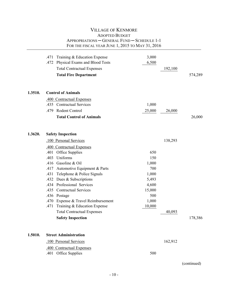|         | Training & Education Expense<br>.471<br>Physical Exams and Blood Tests<br>.472<br><b>Total Contractual Expenses</b><br><b>Total Fire Department</b>                                                                                                                                                                                                                                                                                                      | 3,000<br>6,500                                                                            | 192,100 | 574,289 |
|---------|----------------------------------------------------------------------------------------------------------------------------------------------------------------------------------------------------------------------------------------------------------------------------------------------------------------------------------------------------------------------------------------------------------------------------------------------------------|-------------------------------------------------------------------------------------------|---------|---------|
| 1.3510. | <b>Control of Animals</b>                                                                                                                                                                                                                                                                                                                                                                                                                                |                                                                                           |         |         |
|         | .400 Contractual Expenses<br>.435 Contractual Services<br>Rodent Control<br>.479<br><b>Total Control of Animals</b>                                                                                                                                                                                                                                                                                                                                      | 1,000<br>25,000                                                                           | 26,000  | 26,000  |
| 1.3620. | <b>Safety Inspection</b><br>.100 Personal Services                                                                                                                                                                                                                                                                                                                                                                                                       |                                                                                           | 138,293 |         |
|         | .400 Contractual Expenses<br>.401 Office Supplies<br>Uniforms<br>.403<br>Gasoline & Oil<br>.416<br>Automotive Equipment & Parts<br>.417<br>Telephone & Police Signals<br>.431<br>Dues & Subscriptions<br>.432<br>Professional Services<br>.434<br>.435<br><b>Contractual Services</b><br>.436 Postage<br>.470<br>Expense & Travel Reimbursement<br>.471<br>Training & Education Expense<br><b>Total Contractual Expenses</b><br><b>Safety Inspection</b> | 650<br>150<br>1,000<br>700<br>1,000<br>5,493<br>4,600<br>15,000<br>500<br>1,000<br>10,000 | 40,093  | 178,386 |
| 1.5010. | <b>Street Administration</b>                                                                                                                                                                                                                                                                                                                                                                                                                             |                                                                                           |         |         |
|         | .100 Personal Services<br>.400 Contractual Expenses<br>Office Supplies<br>.401                                                                                                                                                                                                                                                                                                                                                                           | 500                                                                                       | 162,912 |         |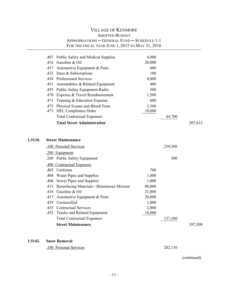|         |      | <b>ADOPTED BUDGET</b>                            |        |         |         |
|---------|------|--------------------------------------------------|--------|---------|---------|
|         |      | APPROPRIATIONS - GENERAL FUND - SCHEDULE 1-1     |        |         |         |
|         |      | FOR THE FISCAL YEAR JUNE 1, 2015 TO MAY 31, 2016 |        |         |         |
|         |      | .407 Public Safety and Medical Supplies          | 4,000  |         |         |
|         | .416 | Gasoline & Oil                                   | 20,000 |         |         |
|         | .417 | Automotive Equipment & Parts                     | 600    |         |         |
|         | .432 | Dues & Subscriptions                             | 100    |         |         |
|         |      | .434 Professional Services                       | 4,000  |         |         |
|         | .451 | Automobiles & Related Equipment                  | 400    |         |         |
|         | .455 | Public Safety Equipment-Radio                    | 500    |         |         |
|         | .470 | Expense & Travel Reimbursement                   | 1,500  |         |         |
|         | .471 | Training & Education Expense                     | 600    |         |         |
|         | .472 | Physical Exams and Blood Tests                   | 2,500  |         |         |
|         | .473 | DEC Compliance Order                             | 10,000 |         |         |
|         |      | <b>Total Contractual Expenses</b>                |        | 44,700  |         |
|         |      | <b>Total Street Administration</b>               |        |         | 207,612 |
|         |      |                                                  |        |         |         |
|         |      |                                                  |        |         |         |
| 1.5110. |      | <b>Street Maintenance</b>                        |        |         |         |
|         |      | .100 Personal Services                           |        | 259,508 |         |
|         |      | .200 Equipment                                   |        |         |         |
|         | .260 | <b>Public Safety Equipment</b>                   |        | 500     |         |
|         |      | .400 Contractual Expenses                        |        |         |         |
|         | .403 | Uniforms                                         | 700    |         |         |
|         | .404 | Water Pipes and Supplies                         | 1,000  |         |         |
|         | .406 | Sewer Pipes and Supplies                         | 1,000  |         |         |
|         | .413 | Resurfacing Materials - Bituminous Mixture       | 80,000 |         |         |
|         | .416 | Gasoline & Oil                                   | 21,800 |         |         |
|         |      | .417 Automotive Equipment & Parts                | 20,000 |         |         |
|         | .429 | Unclassified                                     | 1,000  |         |         |
|         | .435 | <b>Contractual Services</b>                      | 2,000  |         |         |
|         | .452 | Trucks and Related Equipment                     | 10,000 |         |         |
|         |      | <b>Total Contractual Expenses</b>                |        | 137,500 |         |
|         |      | <b>Street Maintenance</b>                        |        |         | 397,508 |
|         |      |                                                  |        |         |         |
|         |      |                                                  |        |         |         |

VILLAGE OF KENMORE

#### **1.5142. Snow Removal**

.100 Personal Services 282,110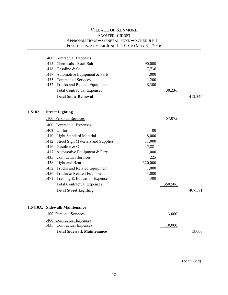|         | .400 Contractual Expenses<br>.415 Chemicals - Rock Salt<br>.416<br>Gasoline & Oil<br>Automotive Equipment & Parts<br>.417<br>.435 Contractual Services<br>.452 Trucks and Related Equipment<br><b>Total Contractual Expenses</b><br><b>Total Snow Removal</b>                                                                                                                                                                                                                                      | 90,000<br>17,736<br>14,000<br>200<br>8,300                                          | 130,236           | 412,346 |
|---------|----------------------------------------------------------------------------------------------------------------------------------------------------------------------------------------------------------------------------------------------------------------------------------------------------------------------------------------------------------------------------------------------------------------------------------------------------------------------------------------------------|-------------------------------------------------------------------------------------|-------------------|---------|
| 1.5182. | <b>Street Lighting</b><br>.100 Personal Services<br>.400 Contractual Expenses<br>.403 Uniforms<br><b>Light Standard Material</b><br>.410<br><b>Street Sign Materials and Supplies</b><br>.412<br>.416 Gasoline & Oil<br>.417 Automotive Equipment & Parts<br>.435 Contractual Services<br>.438 Light and Heat<br>.452 Trucks and Related Equipment<br>.456 Trucks & Related Equipment<br>Training & Education Expense<br>.471<br><b>Total Contractual Expenses</b><br><b>Total Street Lighting</b> | 100<br>8,000<br>11,000<br>5,881<br>1,000<br>225<br>320,000<br>1,000<br>3,000<br>300 | 57,075<br>350,506 | 407,581 |
|         | 1.5410A. Sidewalk Maintenance<br>.100 Personal Services                                                                                                                                                                                                                                                                                                                                                                                                                                            |                                                                                     | 3,000             |         |
|         | .400 Contractual Expenses<br><b>Contractual Expenses</b><br>.435                                                                                                                                                                                                                                                                                                                                                                                                                                   |                                                                                     | 10,000            |         |
|         | <b>Total Sidewalk Maintenance</b>                                                                                                                                                                                                                                                                                                                                                                                                                                                                  |                                                                                     |                   | 13,000  |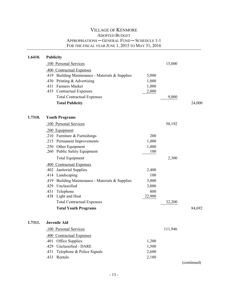| 1.6410. | <b>Publicity</b>                                    |        |         |             |
|---------|-----------------------------------------------------|--------|---------|-------------|
|         | .100 Personal Services                              |        | 15,000  |             |
|         | .400 Contractual Expenses                           |        |         |             |
|         | Building Maintenance - Materials & Supplies<br>.419 | 5,000  |         |             |
|         | .430 Printing $&$ Advertising                       | 1,000  |         |             |
|         | <b>Farmers Market</b><br>.431                       | 1,000  |         |             |
|         | .435 Contractual Expenses                           | 2,000  |         |             |
|         | <b>Total Contractual Expenses</b>                   |        | 9,000   |             |
|         | <b>Total Publicity</b>                              |        |         | 24,000      |
| 1.7310. | <b>Youth Programs</b>                               |        |         |             |
|         | .100 Personal Services                              |        | 50,192  |             |
|         |                                                     |        |         |             |
|         | .200 Equipment<br>.210 Furniture & Furnishings      | 200    |         |             |
|         | .215 Permanent Improvements                         | 1,000  |         |             |
|         | .250 Other Equipment                                | 1,000  |         |             |
|         | .260 Public Safety Equipment                        | 100    |         |             |
|         | <b>Total Equipment</b>                              |        | 2,300   |             |
|         | .400 Contractual Expenses                           |        |         |             |
|         | Janitorial Supplies<br>.402                         | 2,400  |         |             |
|         | .414 Landscaping                                    | 100    |         |             |
|         | Building Maintenance - Materials & Supplies<br>.419 | 3,000  |         |             |
|         | Unclassified<br>.429                                | 3,000  |         |             |
|         | Telephone<br>.431                                   | 800    |         |             |
|         | .438 Light and Heat                                 | 22,900 |         |             |
|         | <b>Total Contractual Expenses</b>                   |        | 32,200  |             |
|         | <b>Total Youth Programs</b>                         |        |         | 84,692      |
| 1.7311. | <b>Juvenile Aid</b>                                 |        |         |             |
|         | .100 Personal Services                              |        | 111,946 |             |
|         | .400 Contractual Expenses                           |        |         |             |
|         | Office Supplies<br>.401                             | 1,200  |         |             |
|         | Unclassified - DARE<br>.429                         | 1,500  |         |             |
|         | Telephone & Police Signals<br>.431                  | 2,600  |         |             |
|         | Rentals<br>.433                                     | 2,180  |         |             |
|         |                                                     |        |         | (continued) |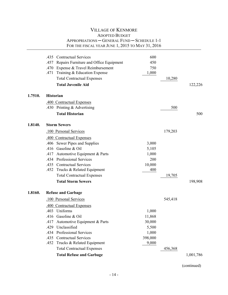|         | .435 Contractual Services                      | 600     |         |           |
|---------|------------------------------------------------|---------|---------|-----------|
|         | .457<br>Repairs Furniture and Office Equipment | 450     |         |           |
|         | Expense & Travel Reimbursement<br>.470         | 750     |         |           |
|         | Training & Education Expense<br>.471           | 1,000   |         |           |
|         | <b>Total Contractual Expenses</b>              |         | 10,280  |           |
|         | <b>Total Juvenile Aid</b>                      |         |         | 122,226   |
| 1.7510. | <b>Historian</b>                               |         |         |           |
|         | .400 Contractual Expenses                      |         |         |           |
|         | Printing & Advertising<br>.430                 |         | 500     |           |
|         | <b>Total Historian</b>                         |         |         | 500       |
| 1.8140. | <b>Storm Sewers</b>                            |         |         |           |
|         | .100 Personal Services                         |         | 179,203 |           |
|         | .400 Contractual Expenses                      |         |         |           |
|         | .406 Sewer Pipes and Supplies                  | 3,000   |         |           |
|         | .416<br>Gasoline & Oil                         | 5,105   |         |           |
|         | Automotive Equipment & Parts<br>.417           | 1,000   |         |           |
|         | .434 Professional Services                     | 200     |         |           |
|         | .435 Contractual Services                      | 10,000  |         |           |
|         | .452<br>Trucks & Related Equipment             | 400     |         |           |
|         | <b>Total Contractual Expenses</b>              |         | 19,705  |           |
|         | <b>Total Storm Sewers</b>                      |         |         | 198,908   |
| 1.8160. | <b>Refuse and Garbage</b>                      |         |         |           |
|         | .100 Personal Services                         |         | 545,418 |           |
|         | .400 Contractual Expenses                      |         |         |           |
|         | .403 Uniforms                                  | 1,000   |         |           |
|         | .416 Gasoline & Oil                            | 11,868  |         |           |
|         | Automotive Equipment & Parts<br>.417           | 30,000  |         |           |
|         | .429<br>Unclassified                           | 5,500   |         |           |
|         | <b>Professional Services</b><br>.434           | 1,000   |         |           |
|         | <b>Contractual Services</b><br>.435            | 398,000 |         |           |
|         | .452<br>Trucks & Related Equipment             | 9,000   |         |           |
|         | <b>Total Contractual Expenses</b>              |         | 456,368 |           |
|         | <b>Total Refuse and Garbage</b>                |         |         | 1,001,786 |
|         |                                                |         |         |           |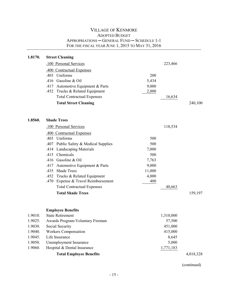| 1.8170. | <b>Street Cleaning</b>                                                 |                 |           |           |
|---------|------------------------------------------------------------------------|-----------------|-----------|-----------|
|         | .100 Personal Services                                                 |                 | 223,466   |           |
|         | .400 Contractual Expenses                                              |                 |           |           |
|         | Uniforms<br>.403                                                       | 200             |           |           |
|         | .416 Gasoline & Oil                                                    | 5,434           |           |           |
|         | .417 Automotive Equipment & Parts                                      | 9,000           |           |           |
|         | .452 Trucks & Related Equipment                                        | 2,000           |           |           |
|         | <b>Total Contractual Expenses</b>                                      |                 | 16,634    |           |
|         | <b>Total Street Cleaning</b>                                           |                 |           | 240,100   |
| 1.8560. | <b>Shade Trees</b>                                                     |                 |           |           |
|         |                                                                        |                 |           |           |
|         | .100 Personal Services                                                 |                 | 118,534   |           |
|         | .400 Contractual Expenses                                              |                 |           |           |
|         | .403 Uniforms                                                          | 500             |           |           |
|         | .407 Public Safety & Medical Supplies                                  | 500             |           |           |
|         | <b>Landscaping Materials</b><br>.414                                   | 7,000           |           |           |
|         | Chemicals<br>.415                                                      | 500             |           |           |
|         | Gasoline & Oil<br>.416                                                 | 7,763           |           |           |
|         | Automotive Equipment & Parts<br>.417<br><b>Shade Trees</b>             | 9,000           |           |           |
|         | .435                                                                   | 11,000<br>4,000 |           |           |
|         | .452 Trucks & Related Equipment<br>.470 Expense & Travel Reimbursement | 400             |           |           |
|         | <b>Total Contractual Expenses</b>                                      |                 | 40,663    |           |
|         | <b>Total Shade Trees</b>                                               |                 |           | 159,197   |
|         |                                                                        |                 |           |           |
|         | <b>Employee Benefits</b>                                               |                 |           |           |
| 1.9010. | <b>State Retirement</b>                                                |                 | 1,310,000 |           |
| 1.9025. | Awards Program-Voluntary Fireman                                       |                 | 57,500    |           |
| 1.9030. | Social Security                                                        |                 | 451,000   |           |
| 1.9040. | <b>Workers Compensation</b>                                            |                 | 415,000   |           |
| 1.9045. | Life Insurance                                                         |                 | 8,645     |           |
| 1.9050. | Unemployment Insurance                                                 |                 | 5,000     |           |
| 1.9060. | Hospital & Dental Insurance                                            |                 | 1,771,183 |           |
|         | <b>Total Employee Benefits</b>                                         |                 |           | 4,018,328 |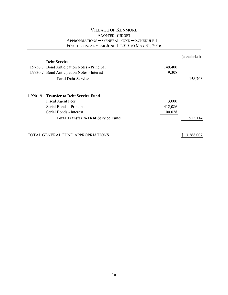|          |                                              |         | (concluded)  |
|----------|----------------------------------------------|---------|--------------|
|          | <b>Debt Service</b>                          |         |              |
|          | 1.9730.7 Bond Anticipation Notes - Principal | 149,400 |              |
|          | 1.9730.7 Bond Anticipation Notes - Interest  | 9,308   |              |
|          | <b>Total Debt Service</b>                    |         | 158,708      |
| 1.9901.9 | <b>Transfer to Debt Service Fund</b>         |         |              |
|          | <b>Fiscal Agent Fees</b>                     | 3,000   |              |
|          | Serial Bonds - Principal                     | 412,086 |              |
|          | Serial Bonds - Interest                      | 100,028 |              |
|          | <b>Total Transfer to Debt Service Fund</b>   |         | 515,114      |
|          | TOTAL GENERAL FUND APPROPRIATIONS            |         | \$13,268,007 |
|          |                                              |         |              |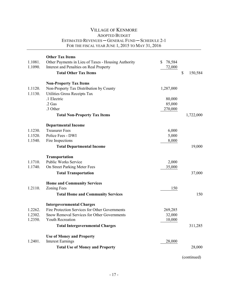| 1.1081.<br>1.1090.            | <b>Other Tax Items</b><br>Other Payments in Lieu of Taxes - Housing Authority<br>Interest and Penalties on Real Property<br><b>Total Other Tax Items</b>                                        | \$<br>78,584<br>72,000      | \$<br>150,584 |
|-------------------------------|-------------------------------------------------------------------------------------------------------------------------------------------------------------------------------------------------|-----------------------------|---------------|
| 1.1120.<br>1.1130.            | <b>Non-Property Tax Items</b><br>Non-Property Tax Distribution by County<br>Utilities Gross Receipts Tax<br>.1 Electric                                                                         | 1,287,000<br>80,000         |               |
|                               | .2 Gas<br>.3 Other                                                                                                                                                                              | 85,000<br>270,000           |               |
|                               | <b>Total Non-Property Tax Items</b>                                                                                                                                                             |                             | 1,722,000     |
| 1.1230.<br>1.1520.<br>1.1540. | <b>Departmental Income</b><br><b>Treasurer Fees</b><br>Police Fees - DWI<br>Fire Inspections<br><b>Total Departmental Income</b>                                                                | 6,000<br>5,000<br>8,000     | 19,000        |
| 1.1710.<br>1.1740.            | <b>Transportation</b><br><b>Public Works Service</b><br>On Street Parking Meter Fees<br><b>Total Transportation</b>                                                                             | 2,000<br>35,000             | 37,000        |
| 1.2110.                       | <b>Home and Community Services</b><br><b>Zoning Fees</b><br><b>Total Home and Community Services</b>                                                                                            | 150                         | 150           |
| 1.2262.<br>1.2302.<br>1.2350. | <b>Intergovernmental Charges</b><br>Fire Protection Services for Other Governments<br>Snow Removal Services for Other Governments<br>Youth Recreation<br><b>Total Intergovernmental Charges</b> | 269,285<br>32,000<br>10,000 | 311,285       |
| 1.2401.                       | <b>Use of Money and Property</b><br><b>Interest Earnings</b><br><b>Total Use of Money and Property</b>                                                                                          | 28,000                      | 28,000        |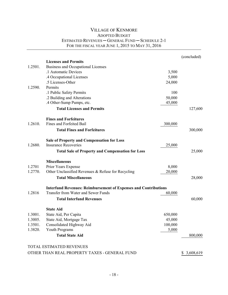|         |                                                                        |         | (concluded) |
|---------|------------------------------------------------------------------------|---------|-------------|
|         | <b>Licenses and Permits</b>                                            |         |             |
| 1.2501. | Business and Occupational Licenses                                     |         |             |
|         | .1 Automatic Devices                                                   | 3,500   |             |
|         | .4 Occupational Licenses                                               | 5,000   |             |
|         | .5 Licenses-Other                                                      | 24,000  |             |
| 1.2590. | Permits                                                                |         |             |
|         | .1 Public Safety Permits                                               | 100     |             |
|         | .2 Building and Alterations                                            | 50,000  |             |
|         | .4 Other-Sump Pumps, etc.                                              | 45,000  |             |
|         | <b>Total Licenses and Permits</b>                                      |         | 127,600     |
|         | <b>Fines and Forfeitures</b>                                           |         |             |
| 1.2610. | Fines and Forfeited Bail                                               | 300,000 |             |
|         | <b>Total Fines and Forfeitures</b>                                     |         | 300,000     |
|         | <b>Sale of Property and Compensation for Loss</b>                      |         |             |
| 1.2680. | <b>Insurance Recoveries</b>                                            | 25,000  |             |
|         | <b>Total Sale of Property and Compensation for Loss</b>                |         | 25,000      |
|         | <b>Miscellaneous</b>                                                   |         |             |
| 1.2701  | Prior Years Expense                                                    | 8,000   |             |
| 1.2770. | Other Unclassified Revenues & Refuse for Recycling                     | 20,000  |             |
|         | <b>Total Miscellaneous</b>                                             |         | 28,000      |
|         | <b>Interfund Revenues: Reimbursement of Expenses and Contributions</b> |         |             |
| 1.2816  | Transfer from Water and Sewer Funds                                    | 60,000  |             |
|         | <b>Total Interfund Revenues</b>                                        |         | 60,000      |
|         | <b>State Aid</b>                                                       |         |             |
| 1.3001. | State Aid, Per Capita                                                  | 650,000 |             |
| 1.3005. | State Aid, Mortgage Tax                                                | 45,000  |             |
| 1.3501. | Consolidated Highway Aid                                               | 100,000 |             |
| 1.3820. | Youth Programs                                                         | 5,000   |             |
|         | <b>Total State Aid</b>                                                 |         | 800,000     |
|         | <b>TOTAL ESTIMATED REVENUES</b>                                        |         |             |
|         | OTHER THAN REAL PROPERTY TAXES - GENERAL FUND                          |         | \$3,608,619 |
|         |                                                                        |         |             |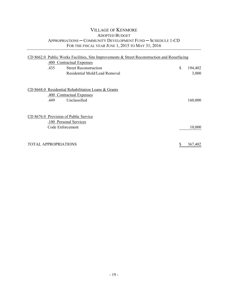|                             |                  | $CD$ 8662.0 Public Works Facilities, Site Improvements & Street Reconstruction and Resurfacing |               |
|-----------------------------|------------------|------------------------------------------------------------------------------------------------|---------------|
|                             |                  | .400 Contractual Expenses                                                                      |               |
|                             | .435             | <b>Street Reconstruction</b>                                                                   | \$<br>194,402 |
|                             |                  | Residential Mold/Lead Removal                                                                  | 3,000         |
|                             |                  |                                                                                                |               |
|                             |                  | CD 8668.0 Residential Rehabilitation Loans & Grants                                            |               |
|                             |                  | .400 Contractual Expenses                                                                      |               |
|                             | .449             | Unclassified                                                                                   | 160,000       |
|                             |                  |                                                                                                |               |
|                             |                  | CD 8676.0 Provision of Public Service                                                          |               |
|                             |                  | .100 Personal Services                                                                         |               |
|                             | Code Enforcement |                                                                                                | 10,000        |
|                             |                  |                                                                                                |               |
| <b>TOTAL APPROPRIATIONS</b> |                  |                                                                                                | \$<br>367,402 |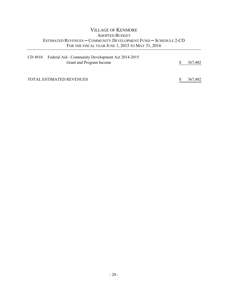#### VILLAGE OF KENMORE ADOPTED BUDGET ESTIMATED REVENUES ─ COMMUNITY DEVELOPMENT FUND ─ SCHEDULE 2-CD FOR THE FISCAL YEAR JUNE 1, 2015 TO MAY 31, 2016

| CD 4910 | Federal Aid - Community Development Act 2014-2015 |    |         |
|---------|---------------------------------------------------|----|---------|
|         | Grant and Program Income                          | S. | 367,402 |
|         |                                                   |    |         |
|         |                                                   |    |         |

TOTAL ESTIMATED REVENUES \$ 367,402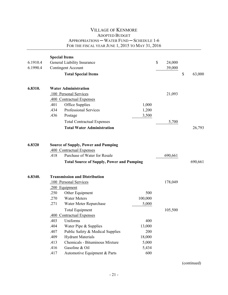| 6.1910.4<br>6.1990.4 |                                                      | <b>Special Items</b><br>General Liability Insurance<br><b>Contingent Account</b><br><b>Total Special Items</b>                                                                                                                               |                                                         | \$<br>24,000<br>39,000 | $\mathbb{S}$ | 63,000  |
|----------------------|------------------------------------------------------|----------------------------------------------------------------------------------------------------------------------------------------------------------------------------------------------------------------------------------------------|---------------------------------------------------------|------------------------|--------------|---------|
| 6.8310.              | .401                                                 | <b>Water Administration</b><br>.100 Personal Services<br>.400 Contractual Expenses<br>Office Supplies                                                                                                                                        | 1,000                                                   | 21,093                 |              |         |
|                      | .434<br>.436                                         | Professional Services<br>Postage<br><b>Total Contractual Expenses</b><br><b>Total Water Administration</b>                                                                                                                                   | 1,200<br>3,500                                          | 5,700                  |              | 26,793  |
| 6.8320               | .418                                                 | <b>Source of Supply, Power and Pumping</b><br>.400 Contractual Expenses<br>Purchase of Water for Resale<br><b>Total Source of Supply, Power and Pumping</b>                                                                                  |                                                         | 690,661                |              | 690,661 |
| 6.8340.              | .250<br>.270<br>.271                                 | <b>Transmission and Distribution</b><br>.100 Personal Services<br>.200 Equipment<br>Other Equipment<br><b>Water Meters</b><br>Water Meter Repurchase                                                                                         | 500<br>100,000<br>5,000                                 | 178,049                |              |         |
|                      | .403<br>.404<br>.407<br>.409<br>.413<br>.416<br>.417 | <b>Total Equipment</b><br>.400 Contractual Expenses<br>Uniforms<br>Water Pipe & Supplies<br>Public Safety & Medical Supplies<br><b>Hydrant Materials</b><br>Chemicals - Bituminous Mixture<br>Gasoline & Oil<br>Automotive Equipment & Parts | 400<br>13,000<br>200<br>18,000<br>5,000<br>5,434<br>600 | 105,500                |              |         |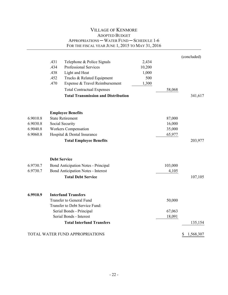|          |      | <b>VILLAGE OF KENMORE</b>                                           |        |         |                 |
|----------|------|---------------------------------------------------------------------|--------|---------|-----------------|
|          |      | <b>ADOPTED BUDGET</b><br>APPROPRIATIONS - WATER FUND - SCHEDULE 1-6 |        |         |                 |
|          |      | FOR THE FISCAL YEAR JUNE 1, 2015 TO MAY 31, 2016                    |        |         |                 |
|          |      |                                                                     |        |         |                 |
|          |      |                                                                     |        |         | (concluded)     |
|          | .431 | Telephone & Police Signals                                          | 2,434  |         |                 |
|          | .434 | <b>Professional Services</b>                                        | 10,200 |         |                 |
|          | .438 | Light and Heat                                                      | 1,000  |         |                 |
|          | .452 | Trucks & Related Equipment                                          | 500    |         |                 |
|          | .470 | Expense & Travel Reimbursement                                      | 1,300  |         |                 |
|          |      | <b>Total Contractual Expenses</b>                                   |        | 58,068  |                 |
|          |      | <b>Total Transmission and Distribution</b>                          |        |         | 341,617         |
|          |      |                                                                     |        |         |                 |
| 6.9010.8 |      | <b>Employee Benefits</b><br><b>State Retirement</b>                 |        | 87,000  |                 |
| 6.9030.8 |      | Social Security                                                     |        | 16,000  |                 |
| 6.9040.8 |      | <b>Workers Compensation</b>                                         |        | 35,000  |                 |
| 6.9060.8 |      | Hospital & Dental Insurance                                         |        | 65,977  |                 |
|          |      |                                                                     |        |         |                 |
|          |      | <b>Total Employee Benefits</b>                                      |        |         | 203,977         |
|          |      | <b>Debt Service</b>                                                 |        |         |                 |
| 6.9730.7 |      | Bond Anticipation Notes - Principal                                 |        | 103,000 |                 |
| 6.9730.7 |      | <b>Bond Anticipation Notes - Interest</b>                           |        | 4,105   |                 |
|          |      | <b>Total Debt Service</b>                                           |        |         | 107,105         |
|          |      |                                                                     |        |         |                 |
| 6.9910.9 |      | <b>Interfund Transfers</b>                                          |        |         |                 |
|          |      | <b>Transfer to General Fund</b>                                     |        | 50,000  |                 |
|          |      | Transfer to Debt Service Fund:                                      |        |         |                 |
|          |      | Serial Bonds - Principal                                            |        | 67,063  |                 |
|          |      | Serial Bonds - Interest                                             |        | 18,091  |                 |
|          |      | <b>Total Interfund Transfers</b>                                    |        |         | 135,154         |
|          |      | TOTAL WATER FUND APPROPRIATIONS                                     |        |         | 1,568,307<br>S. |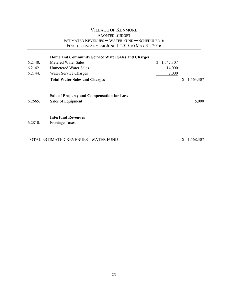#### VILLAGE OF KENMORE ADOPTED BUDGET ESTIMATED REVENUES ─ WATER FUND ─ SCHEDULE 2-6 FOR THE FISCAL YEAR JUNE 1, 2015 TO MAY 31, 2016

| 6.2140.<br>6.2142.<br>6.2144. | Home and Community Service Water Sales and Charges<br>Metered Water Sales<br><b>Unmetered Water Sales</b><br>Water Service Charges<br><b>Total Water Sales and Charges</b> | \$<br>1,547,307<br>14,000<br>2,000 | \$<br>1,563,307 |
|-------------------------------|----------------------------------------------------------------------------------------------------------------------------------------------------------------------------|------------------------------------|-----------------|
| 6.2665.                       | Sale of Property and Compensation for Loss<br>Sales of Equipment                                                                                                           |                                    | 5,000           |
| 6.2810.                       | <b>Interfund Revenues</b><br><b>Frontage Taxes</b>                                                                                                                         |                                    |                 |
|                               | TOTAL ESTIMATED REVENUES - WATER FUND                                                                                                                                      |                                    | 1,568,307       |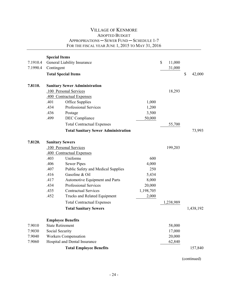| 7.1910.4<br>7.1990.4 | <b>Special Items</b><br>Contingent | General Liability Insurance<br><b>Total Special Items</b> |           | \$<br>11,000<br>31,000 | \$<br>42,000 |
|----------------------|------------------------------------|-----------------------------------------------------------|-----------|------------------------|--------------|
| 7.8110.              |                                    | <b>Sanitary Sewer Administration</b>                      |           |                        |              |
|                      |                                    | .100 Personal Services                                    |           | 18,293                 |              |
|                      |                                    | .400 Contractual Expenses                                 |           |                        |              |
|                      | .401                               | Office Supplies                                           | 1,000     |                        |              |
|                      | .434                               | Professional Services                                     | 1,200     |                        |              |
|                      | .436                               | Postage                                                   | 3,500     |                        |              |
|                      | .499                               | DEC Compliance                                            | 50,000    |                        |              |
|                      |                                    | <b>Total Contractual Expenses</b>                         |           | 55,700                 |              |
|                      |                                    | <b>Total Sanitary Sewer Administration</b>                |           |                        | 73,993       |
| 7.8120.              | <b>Sanitary Sewers</b>             |                                                           |           |                        |              |
|                      |                                    | .100 Personal Services                                    |           | 199,203                |              |
|                      |                                    | .400 Contractual Expenses                                 |           |                        |              |
|                      | .403                               | Uniforms                                                  | 600       |                        |              |
|                      | .406                               | <b>Sewer Pipes</b>                                        | 4,000     |                        |              |
|                      | .407                               | <b>Public Safety and Medical Supplies</b>                 | 250       |                        |              |
|                      | .416                               | Gasoline & Oil                                            | 5,434     |                        |              |
|                      | .417                               | Automotive Equipment and Parts                            | 8,000     |                        |              |
|                      | .434                               | <b>Professional Services</b>                              | 20,000    |                        |              |
|                      | .435                               | <b>Contractual Services</b>                               | 1,198,705 |                        |              |
|                      | .452                               | Trucks and Related Equipment                              | 2,000     |                        |              |
|                      |                                    | <b>Total Contractual Expenses</b>                         |           | 1,238,989              |              |
|                      |                                    | <b>Total Sanitary Sewers</b>                              |           |                        | 1,438,192    |
|                      | <b>Employee Benefits</b>           |                                                           |           |                        |              |
| 7.9010               | <b>State Retirement</b>            |                                                           |           | 58,000                 |              |
| 7.9030               | Social Security                    |                                                           |           | 17,000                 |              |
| 7.9040               |                                    | <b>Workers Compensation</b>                               |           | 20,000                 |              |
| 7.9060               |                                    | Hospital and Dental Insurance                             |           | 62,840                 |              |
|                      |                                    | <b>Total Employee Benefits</b>                            |           |                        | 157,840      |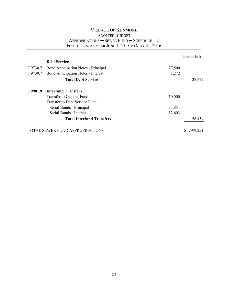|          |                                            |        | (concluded) |
|----------|--------------------------------------------|--------|-------------|
|          | <b>Debt Service</b>                        |        |             |
| 7.9730.7 | <b>Bond Anticipation Notes - Principal</b> | 27,500 |             |
| 7.9730.7 | <b>Bond Anticipation Notes - Interest</b>  | 1,272  |             |
|          | <b>Total Debt Service</b>                  |        | 28,772      |
| 7.9901.9 | <b>Interfund Transfers</b>                 |        |             |
|          | Transfer to General Fund                   | 10,000 |             |
|          | Transfer to Debt Service Fund:             |        |             |
|          | Serial Bonds - Principal                   | 35,851 |             |
|          | Serial Bonds - Interest                    | 12,603 |             |
|          | <b>Total Interfund Transfers</b>           |        | 58,454      |
|          | <b>TOTAL SEWER FUND APPROPRIATIONS</b>     |        | \$1,799,251 |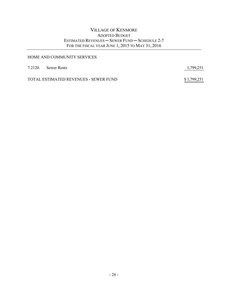#### VILLAGE OF KENMORE ADOPTED BUDGET ESTIMATED REVENUES ─ SEWER FUND ─ SCHEDULE 2-7 FOR THE FISCAL YEAR JUNE 1, 2015 TO MAY 31, 2016

#### HOME AND COMMUNITY SERVICES

| 7.2120. Sewer Rents                   | 1,799,251   |
|---------------------------------------|-------------|
| TOTAL ESTIMATED REVENUES - SEWER FUND | \$1,799,251 |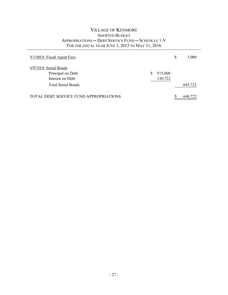| V1380.0 Fiscal Agent Fees              |   |         | \$<br>3,000 |
|----------------------------------------|---|---------|-------------|
| V9710.0 Serial Bonds                   |   |         |             |
| Principal on Debt                      | S | 515,000 |             |
| Interest on Debt                       |   | 130,722 |             |
| <b>Total Serial Bonds</b>              |   |         | 645,722     |
| TOTAL DEBT SERVICE FUND APPROPRIATIONS |   |         | 648,722     |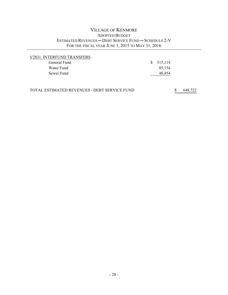#### VILLAGE OF KENMORE ADOPTED BUDGET ESTIMATED REVENUES ─ DEBT SERVICE FUND ─ SCHEDULE 2-V FOR THE FISCAL YEAR JUNE 1, 2015 TO MAY 31, 2016

| V2831 INTERFUND TRANSFERS |           |
|---------------------------|-----------|
| General Fund              | \$515,114 |
| Water Fund                | 85,154    |
| Sewer Fund                | 48,454    |
|                           |           |

| TOTAL ESTIMATED REVENUES - DEBT SERVICE FUND |  | 648,722 |
|----------------------------------------------|--|---------|
|----------------------------------------------|--|---------|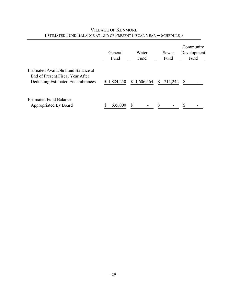|                                                                                                             | General<br>Fund | Water<br>Fund | Sewer<br>Fund           | Community<br>Development<br>Fund |
|-------------------------------------------------------------------------------------------------------------|-----------------|---------------|-------------------------|----------------------------------|
| Estimated Available Fund Balance at<br>End of Present Fiscal Year After<br>Deducting Estimated Encumbrances | \$1,884,250     | \$1,606,564   | 211,242<br><sup>S</sup> | -S                               |
| <b>Estimated Fund Balance</b><br>Appropriated By Board                                                      | 635,000         |               |                         |                                  |

# VILLAGE OF KENMORE ESTIMATED FUND BALANCE AT END OF PRESENT FISCAL YEAR — SCHEDULE 3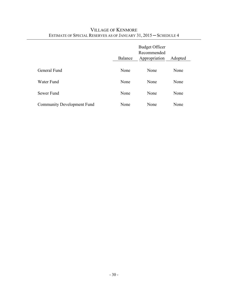|                                   | Balance | <b>Budget Officer</b><br>Recommended<br>Appropriation | Adopted |
|-----------------------------------|---------|-------------------------------------------------------|---------|
| General Fund                      | None    | None                                                  | None    |
| Water Fund                        | None    | None                                                  | None    |
| Sewer Fund                        | None    | None                                                  | None    |
| <b>Community Development Fund</b> | None    | None                                                  | None    |

# VILLAGE OF KENMORE ESTIMATE OF SPECIAL RESERVES AS OF JANUARY 31, 2015 ─ SCHEDULE 4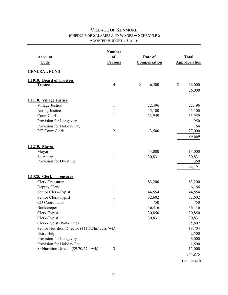| Account<br>Code                                  | <b>Number</b><br><sub>of</sub><br><b>Persons</b> | Rate of<br><b>Compensation</b> | <b>Total</b><br><b>Appropriation</b> |
|--------------------------------------------------|--------------------------------------------------|--------------------------------|--------------------------------------|
| <b>GENERAL FUND</b>                              |                                                  |                                |                                      |
| 1.1010. Board of Trustees                        |                                                  |                                |                                      |
| Trustees                                         | $\overline{4}$                                   | $\mathbb S$<br>6,500           | \$<br>26,000<br>26,000               |
| 1.1110. Village Justice                          |                                                  |                                |                                      |
| Village Justice                                  | $\mathbf{1}$                                     | 22,496                         | 22,496                               |
| <b>Acting Justice</b>                            | 1                                                | 5,100                          | 5,100                                |
| Court Clerk                                      | $\mathbf{1}$                                     | 33,959                         | 33,959                               |
| Provision for Longevity                          |                                                  |                                | 950                                  |
| Provision for Holiday Pay                        |                                                  |                                | 164                                  |
| P/T Court Clerk                                  | $\overline{2}$                                   | 13,500                         | 27,000                               |
|                                                  |                                                  |                                | 89,669                               |
| 1.1210. Mayor                                    |                                                  |                                |                                      |
| Mayor                                            | 1                                                | 13,000                         | 13,000                               |
| Secretary                                        | 1                                                | 30,831                         | 30,831                               |
| Provision for Overtime                           |                                                  |                                | 360                                  |
|                                                  |                                                  |                                | 44,191                               |
| 1.1325. Clerk - Treasurer                        |                                                  |                                |                                      |
| Clerk-Treasurer                                  | $\mathbf{1}$                                     | 83,200                         | 83,200                               |
| Deputy Clerk                                     | $\mathbf{1}$                                     |                                | 6,166                                |
| Senior Clerk-Typist                              | 1                                                | 44,554                         | 44,554                               |
| Senior Clerk-Typist                              | 1                                                | 32,602                         | 32,602                               |
| CD Coordinator                                   | 1                                                | 750                            | 750                                  |
| Bookkeeper                                       | 1                                                | 36,416                         | 36,416                               |
| Clerk-Typist                                     | $\mathbf{1}$                                     | 30,850                         | 30,850                               |
| Clerk-Typist                                     | 1                                                | 30,831                         | 30,831                               |
| Clerk-Typist (Part-Time)                         |                                                  |                                | 35,802                               |
| Senior Nutrition Director (\$11.52/hr/ 22rs /wk) |                                                  |                                | 18,704                               |
| Extra Help                                       |                                                  |                                | 2,500                                |
| Provision for Longevity                          |                                                  |                                | 6,000                                |
| Provision for Holiday Pay                        |                                                  |                                | 1,500                                |
| Sr Nutrition Drivers (\$9.70/27hr/wk)            | 3                                                |                                | 15,000                               |
|                                                  |                                                  |                                | 344,875                              |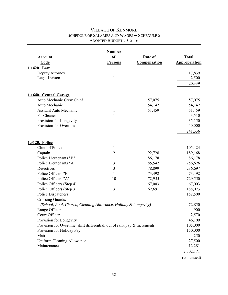|                                                                          | <b>Number</b>  |                     |                      |
|--------------------------------------------------------------------------|----------------|---------------------|----------------------|
| <b>Account</b>                                                           | <sub>of</sub>  | Rate of             | <b>Total</b>         |
| Code                                                                     | <b>Persons</b> | <b>Compensation</b> | <b>Appropriation</b> |
| 1.1420. Law                                                              |                |                     |                      |
| Deputy Attorney                                                          | $\mathbf{1}$   |                     | 17,839               |
| Legal Liaison                                                            | $\mathbf{1}$   |                     | 2,500                |
|                                                                          |                |                     | 20,339               |
| 1.1640. Central Garage                                                   |                |                     |                      |
| Auto Mechanic Crew Chief                                                 | 1              | 57,075              | 57,075               |
| Auto Mechanic                                                            | 1              | 54,142              | 54,142               |
| <b>Assitant Auto Mechanic</b>                                            | 1              | 51,459              | 51,459               |
| PT Cleaner                                                               | $\mathbf{1}$   |                     | 3,510                |
| Provision for Longevity                                                  |                |                     | 35,150               |
| Provision for Overtime                                                   |                |                     | 40,000               |
|                                                                          |                |                     | 241,336              |
| <b>1.3120. Police</b>                                                    |                |                     |                      |
| Chief of Police                                                          | $\mathbf{1}$   |                     | 105,424              |
| Captain                                                                  | $\overline{2}$ | 92,728              | 189,168              |
| Police Lieutenants "B"                                                   | $\mathbf{1}$   | 86,178              | 86,178               |
| Police Lieutenants "A"                                                   | 3              | 85,542              | 256,626              |
| Detectives                                                               | $\mathfrak{Z}$ | 78,899              | 236,697              |
| Police Officers "B"                                                      | 1              | 73,492              | 73,492               |
| Police Officers "A"                                                      | 10             | 72,955              | 729,550              |
| Police Officers (Step 4)                                                 | $\mathbf{1}$   | 67,003              | 67,003               |
| Police Officers (Step 3)                                                 | 3              | 62,691              | 188,073              |
| <b>Police Dispatchers</b>                                                |                |                     | 152,500              |
| Crossing Guards:                                                         |                |                     |                      |
| (School, Pool, Church, Cleaning Allowance, Holiday & Longevity)          |                |                     | 72,850               |
| Range Officer                                                            |                |                     | 900                  |
| Court Officer                                                            |                |                     | 2,570                |
| Provision for Longevity                                                  |                |                     | 46,109               |
| Provision for Overtime, shift differential, out of rank pay & increments |                |                     | 105,000              |
| Provision for Holiday Pay                                                |                |                     | 150,000              |
| Matron                                                                   |                |                     | 250                  |
| <b>Uniform Cleaning Allowance</b>                                        |                |                     | 27,500               |
| Maintenance                                                              |                |                     | 12,281               |
|                                                                          |                |                     | 2,502,171            |
|                                                                          |                |                     | (continued)          |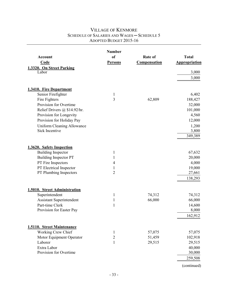|                                                  | <b>Number</b>                |                     |                      |
|--------------------------------------------------|------------------------------|---------------------|----------------------|
| Account                                          | <sub>of</sub>                | Rate of             | <b>Total</b>         |
| Code                                             | <b>Persons</b>               | <b>Compensation</b> | <b>Appropriation</b> |
| 1.3320. On Street Parking                        |                              |                     |                      |
| Labor                                            |                              |                     | 3,000                |
|                                                  |                              |                     | 3,000                |
|                                                  |                              |                     |                      |
| 1.3410. Fire Department                          |                              |                     |                      |
| Senior Firefighter                               | $\mathbf{1}$                 |                     | 6,402                |
| Fire Fighters                                    | $\overline{\mathbf{3}}$      | 62,809              | 188,427              |
| Provision for Overtime                           |                              |                     | 32,000               |
| Relief Drivers @ \$14.92/hr.                     |                              |                     | 101,000              |
| Provision for Longevity                          |                              |                     | 4,560                |
| Provision for Holiday Pay                        |                              |                     | 12,000               |
| <b>Uniform Cleaning Allowance</b>                |                              |                     | 1,200                |
| <b>Sick Incentive</b>                            |                              |                     | 3,800                |
|                                                  |                              |                     | 349,389              |
|                                                  |                              |                     |                      |
| 1.3620. Safety Inspection                        |                              |                     |                      |
| <b>Building Inspector</b>                        | $\mathbf{1}$                 |                     | 67,632               |
| <b>Building Inspector PT</b>                     | 1                            |                     | 20,000               |
| PT Fire Inspectors                               | 4                            |                     | 4,000                |
| PT Electrical Inspector                          | 1                            |                     | 19,000               |
| PT Plumbing Inspectors                           | $\overline{2}$               |                     | 27,661               |
|                                                  |                              |                     | 138,293              |
|                                                  |                              |                     |                      |
| 1.5010. Street Administration                    |                              |                     |                      |
| Superintendent                                   | $\mathbf{1}$                 | 74,312              | 74,312               |
| <b>Assistant Superintendent</b>                  | $\mathbf{1}$                 | 66,000              | 66,000               |
| Part-time Clerk                                  | $\mathbf{1}$                 |                     | 14,600               |
| Provision for Easter Pay                         |                              |                     | 8,000                |
|                                                  |                              |                     | 162,912              |
|                                                  |                              |                     |                      |
|                                                  |                              |                     |                      |
| 1.5110. Street Maintenance<br>Working Crew Chief |                              | 57,075              |                      |
| Motor Equipment Operator                         | $\mathbf{1}$<br>$\mathbf{2}$ |                     | 57,075<br>102,918    |
| Laborer                                          | 1                            | 51,459<br>29,515    | 29,515               |
| Extra Labor                                      |                              |                     | 40,000               |
| Provision for Overtime                           |                              |                     | 30,000               |
|                                                  |                              |                     |                      |
|                                                  |                              |                     | 259,508              |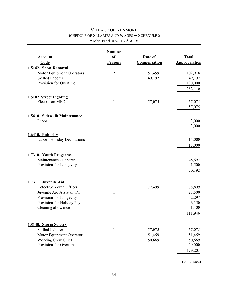|                                                  | <b>Number</b>  |                     |                      |
|--------------------------------------------------|----------------|---------------------|----------------------|
| Account                                          | <sub>of</sub>  | Rate of             | <b>Total</b>         |
| Code                                             | <b>Persons</b> | <b>Compensation</b> | <b>Appropriation</b> |
| 1.5142. Snow Removal                             |                |                     |                      |
| Motor Equipment Operators                        | $\overline{2}$ | 51,459              | 102,918              |
| <b>Skilled Laborer</b>                           | $\mathbf{1}$   | 49,192              | 49,192               |
| Provision for Overtime                           |                |                     | 130,000              |
|                                                  |                |                     | 282,110              |
| 1.5182 Street Lighting                           |                |                     |                      |
| Electrician MEO                                  | $\mathbf{1}$   | 57,075              | 57,075               |
|                                                  |                |                     | 57,075               |
| 1.5410. Sidewalk Maintenance                     |                |                     |                      |
| Labor                                            |                |                     | 3,000                |
|                                                  |                |                     | 3,000                |
|                                                  |                |                     |                      |
| 1.6410. Publicity<br>Labor - Holiday Decorations |                |                     | 15,000               |
|                                                  |                |                     | 15,000               |
|                                                  |                |                     |                      |
| 1.7310. Youth Programs                           |                |                     |                      |
| Maintenance - Laborer                            | $\mathbf{1}$   |                     | 48,692               |
| Provision for Longevity                          |                |                     | 1,500                |
|                                                  |                |                     | 50,192               |
|                                                  |                |                     |                      |
| 1.7311. Juvenile Aid<br>Detective Youth Officer  | $\mathbf{1}$   | 77,499              | 78,899               |
| Juvenile Aid Assistant PT                        | 1              |                     | 23,500               |
| Provision for Longevity                          |                |                     | 2,297                |
| Provision for Holiday Pay                        |                |                     | 6,150                |
| Cleaning allowance                               |                |                     | 1,100                |
|                                                  |                |                     | 111,946              |
|                                                  |                |                     |                      |
| 1.8140. Storm Sewers                             |                |                     |                      |
| Skilled Laborer                                  | 1              | 57,075              | 57,075               |
| Motor Equipment Operator                         | 1              | 51,459              | 51,459               |
| Working Crew Chief                               | 1              | 50,669              | 50,669               |
| Provision for Overtime                           |                |                     | 20,000               |
|                                                  |                |                     | 179,203              |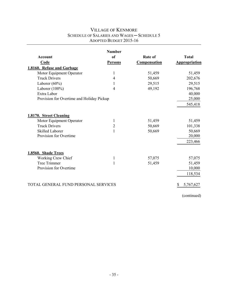|                                           | <b>Number</b>  |                     |                      |
|-------------------------------------------|----------------|---------------------|----------------------|
| <b>Account</b>                            | <sub>of</sub>  | <b>Rate of</b>      | <b>Total</b>         |
| <b>Code</b>                               | <b>Persons</b> | <b>Compensation</b> | <b>Appropriation</b> |
| 1.8160. Refuse and Garbage                |                |                     |                      |
| Motor Equipment Operator                  | 1              | 51,459              | 51,459               |
| <b>Truck Drivers</b>                      | 4              | 50,669              | 202,676              |
| Laborer $(60\%)$                          | 1              | 29,515              | 29,515               |
| Laborer $(100\%)$                         | 4              | 49,192              | 196,768              |
| Extra Labor                               |                |                     | 40,000               |
| Provision for Overtime and Holiday Pickup |                |                     | 25,000               |
|                                           |                |                     | 545,418              |
| 1.8170. Street Cleaning                   |                |                     |                      |
| Motor Equipment Operator                  | 1              | 51,459              | 51,459               |
| <b>Truck Drivers</b>                      | $\overline{2}$ | 50,669              | 101,338              |
| <b>Skilled Laborer</b>                    | 1              | 50,669              | 50,669               |
| Provision for Overtime                    |                |                     | 20,000               |
|                                           |                |                     | 223,466              |
| 1.8560. Shade Trees                       |                |                     |                      |
| Working Crew Chief                        | $\mathbf{1}$   | 57,075              | 57,075               |
| <b>Tree Trimmer</b>                       | 1              | 51,459              | 51,459               |
| Provision for Overtime                    |                |                     | 10,000               |
|                                           |                |                     | 118,534              |
| TOTAL GENERAL FUND PERSONAL SERVICES      |                |                     | \$<br>5,767,627      |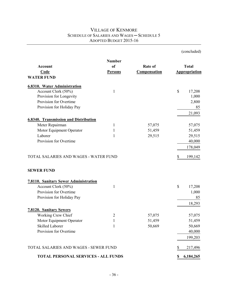| <b>Account</b><br><b>Code</b><br><b>WATER FUND</b> | <b>Number</b><br><sub>of</sub><br><b>Persons</b> | Rate of<br><b>Compensation</b> | <b>Total</b><br><b>Appropriation</b> |
|----------------------------------------------------|--------------------------------------------------|--------------------------------|--------------------------------------|
| <b>6.8310. Water Administration</b>                |                                                  |                                |                                      |
| Account Clerk (50%)                                | $\mathbf{1}$                                     |                                | \$<br>17,208                         |
| Provision for Longevity                            |                                                  |                                | 1,000                                |
| Provision for Overtime                             |                                                  |                                | 2,800                                |
| Provision for Holiday Pay                          |                                                  |                                | 85                                   |
|                                                    |                                                  |                                | 21,093                               |
| <b>6.8340. Transmission and Distribution</b>       |                                                  |                                |                                      |
| Meter Repairman                                    | 1                                                | 57,075                         | 57,075                               |
| Motor Equipment Operator                           | 1                                                | 51,459                         | 51,459                               |
| Laborer                                            | 1                                                | 29,515                         | 29,515                               |
| Provision for Overtime                             |                                                  |                                | 40,000                               |
|                                                    |                                                  |                                | 178,049                              |
| TOTAL SALARIES AND WAGES - WATER FUND              |                                                  |                                | \$<br>199,142                        |
| <b>SEWER FUND</b>                                  |                                                  |                                |                                      |
| <b>7.8110. Sanitary Sewer Administration</b>       |                                                  |                                |                                      |
| Account Clerk (50%)                                | 1                                                |                                | \$<br>17,208                         |
| Provision for Overtime                             |                                                  |                                | 1,000                                |
| Provision for Holiday Pay                          |                                                  |                                | 85                                   |
|                                                    |                                                  |                                | 18,293                               |
| <b>7.8120. Sanitary Sewers</b>                     |                                                  |                                |                                      |
| Working Crew Chief                                 | $\overline{2}$                                   | 57,075                         | 57,075                               |
| Motor Equipment Operator                           | 1                                                | 51,459                         | 51,459                               |
| Skilled Laborer                                    | 1                                                | 50,669                         | 50,669                               |
| Provision for Overtime                             |                                                  |                                | 40,000                               |
|                                                    |                                                  |                                | 199,203                              |
| TOTAL SALARIES AND WAGES - SEWER FUND              |                                                  |                                | 217,496<br>S                         |
| <b>TOTAL PERSONAL SERVICES - ALL FUNDS</b>         |                                                  |                                | 6,184,265<br>\$                      |

(concluded)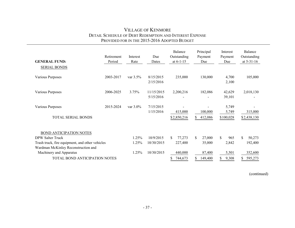#### VILLAGE OF KENMORE DETAIL SCHEDULE OF DEBT REDEMPTION AND INTEREST EXPENSE PROVIDED FOR IN THE 2015-2016 ADOPTED BUDGET

| <b>GENERAL FUND:</b><br><b>SERIAL BONDS</b>     | Retirement<br>Period | Interest<br>Rate | Due<br>Dates            | Balance<br>Outstanding<br>at $6-1-15$ | Principal<br>Payment<br>Due | Interest<br>Payment<br>Due | Balance<br>Outstanding<br>at $5-31-16$ |
|-------------------------------------------------|----------------------|------------------|-------------------------|---------------------------------------|-----------------------------|----------------------------|----------------------------------------|
| Various Purposes                                | 2003-2017            | var $3.5\%$      | 8/15/2015<br>2/15/2016  | 235,000                               | 130,000                     | 4,700<br>2,100             | 105,000                                |
| Various Purposes                                | 2006-2025            | 3.75%            | 11/15/2015<br>5/15/2016 | 2,200,216<br>$\overline{\phantom{0}}$ | 182,086<br>$\blacksquare$   | 42,629<br>39,101           | 2,018,130                              |
| Various Purposes                                | 2015-2024            | var $3.0\%$      | 7/15/2015<br>1/15/2016  | 415,000                               | 100,000                     | 5,749<br>5,749             | 315,000                                |
| TOTAL SERIAL BONDS                              |                      |                  |                         | \$2,850,216                           | 412,086<br>S.               | \$100,028                  | \$2,438,130                            |
| BOND ANTICIPATION NOTES                         |                      |                  |                         |                                       |                             |                            |                                        |
| DPW Salter Truck                                |                      | 1.25%            | 10/9/2015               | 77,273<br>\$.                         | \$<br>27,000                | S.<br>965                  | \$<br>50,273                           |
| Trash truck, fire equipment, and other vehicles |                      | 1.25%            | 10/30/2015              | 227,400                               | 35,000                      | 2,842                      | 192,400                                |
| Wardman McKinley Reconstruction and             |                      |                  |                         |                                       |                             |                            |                                        |
| Machinery and Apparatus                         |                      | 1.25%            | 10/30/2015              | 440,000                               | 87,400                      | 5,501                      | 352,600                                |
| TOTAL BOND ANTICIPATION NOTES                   |                      |                  |                         | 744,673                               | 149,400                     | 9,308                      | 595,273                                |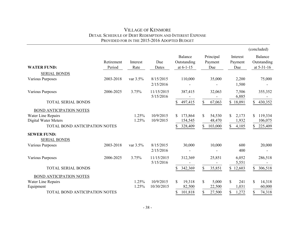#### VILLAGE OF KENMORE DETAIL SCHEDULE OF DEBT REDEMPTION AND INTEREST EXPENSE PROVIDED FOR IN THE 2015-2016 ADOPTED BUDGET

|                                           |                      |                  |                         |                                       |                             |                            | (concluded)                            |
|-------------------------------------------|----------------------|------------------|-------------------------|---------------------------------------|-----------------------------|----------------------------|----------------------------------------|
| <b>WATER FUND:</b>                        | Retirement<br>Period | Interest<br>Rate | Due<br>Dates            | Balance<br>Outstanding<br>at $6-1-15$ | Principal<br>Payment<br>Due | Interest<br>Payment<br>Due | Balance<br>Outstanding<br>at $5-31-16$ |
| <b>SERIAL BONDS</b>                       |                      |                  |                         |                                       |                             |                            |                                        |
| <b>Various Purposes</b>                   | 2003-2018            | var 3.5%         | 8/15/2015<br>2/15/2016  | 110,000                               | 35,000                      | 2,200<br>1,500             | 75,000                                 |
| Various Purposes                          | 2006-2025            | 3.75%            | 11/15/2015<br>5/15/2016 | 387,415                               | 32,063                      | 7,506<br>6,885             | 355,352                                |
| <b>TOTAL SERIAL BONDS</b>                 |                      |                  |                         | 497,415<br>S                          | \$<br>67,063                | \$18,091                   | 430,352<br>\$                          |
| <b>BOND ANTICIPATION NOTES</b>            |                      |                  |                         |                                       |                             |                            |                                        |
| Water Line Repairs                        |                      | 1.25%            | 10/9/2015               | 173,864<br>S.                         | \$<br>54,530                | \$<br>2,173                | 119,334<br>\$                          |
| <b>Digital Water Meters</b>               |                      | 1.25%            | 10/9/2015               | 154,545                               | 48,470                      | 1,932                      | 106,075                                |
| TOTAL BOND ANTICIPATION NOTES             |                      |                  |                         | 328,409<br>S.                         | \$<br>103,000               | $\mathbf S$<br>4,105       | 225,409<br>\$                          |
| <b>SEWER FUND:</b><br><b>SERIAL BONDS</b> |                      |                  |                         |                                       |                             |                            |                                        |
| Various Purposes                          | 2003-2018            | var $3.5\%$      | 8/15/2015               | 30,000                                | 10,000                      | 600                        | 20,000                                 |
|                                           |                      |                  | 2/15/2016               |                                       |                             | 400                        |                                        |
| <b>Various Purposes</b>                   | 2006-2025            | 3.75%            | 11/15/2015<br>5/15/2016 | 312,369                               | 25,851                      | 6,052<br>5,551             | 286,518                                |
| <b>TOTAL SERIAL BONDS</b>                 |                      |                  |                         | 342,369<br>S.                         | \$<br>35,851                | \$12,603                   | 306,518<br>\$                          |
| <b>BOND ANTICIPATION NOTES</b>            |                      |                  |                         |                                       |                             |                            |                                        |
| Water Line Repairs                        |                      | 1.25%            | 10/9/2015               | \$<br>19,318                          | $\mathbb{S}$<br>5,000       | \$<br>241                  | \$<br>14,318                           |
| Equipment                                 |                      | 1.25%            | 10/30/2015              | 82,500                                | 22,500                      | 1,031                      | 60,000                                 |
| <b>TOTAL BOND ANTICIPATION NOTES</b>      |                      |                  |                         | 101,818<br>\$                         | \$<br>27,500                | \$<br>1,272                | \$<br>74,318                           |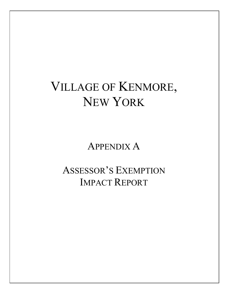# VILLAGE OF KENMORE, NEW YORK

APPENDIX A

ASSESSOR'S EXEMPTION IMPACT REPORT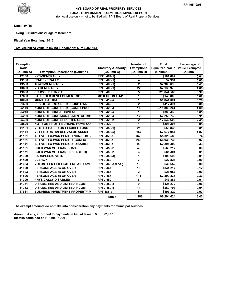

#### (for local use only -- not to be filed with NYS Board of Real Property Services) **NYS BOARD OF REAL PROPERTY SERVICES LOCAL GOVERNMENT EXEMPTION IMPACT REPORT**

**Date: 3/4/15**

**Taxing Jurisdiction: Village of Kenmore** 

**Fiscal Year Begining: 2015**

#### **Total equalized value in taxing jurisdiction: \$ 716,455,141**

| <b>Exemption</b> |                                         |                            | Number of         | <b>Total</b>           | Percentage of         |
|------------------|-----------------------------------------|----------------------------|-------------------|------------------------|-----------------------|
| Code             |                                         | <b>Statutory Authority</b> | <b>Exemptions</b> | <b>Equalized Value</b> | <b>Value Exempted</b> |
| (Column A)       | <b>Exemption Description (Column B)</b> | (Column C)                 | (Column D)        | (Column E)             | (Column F)            |
| 12100            | <b>NYS-GENERALLY</b>                    | <b>RPTL 404(1)</b>         | 1                 | \$101,087              | 0.01                  |
| 13100            | <b>CO-GENERALLY</b>                     | <b>RPTL 406(1)</b>         | 4                 | \$2,391                | 0.00                  |
| 13500            | <b>TOWN-GENERALLY</b>                   | <b>RPTL 406(1)</b>         | $\overline{2}$    | \$2,903,696            | 0.41                  |
| 13650            | <b>VG GENERALLY</b>                     | <b>RPTL 406(1)</b>         | $\overline{22}$   | \$7,130,978            | 1.00                  |
| 13800            | <b>SCHOOL DISTRICT</b>                  | <b>RPTL 408</b>            | 5                 | \$23,644,565           | 3.30                  |
| 17650            | <b>FACILITIES DEVELOPMENT CORP</b>      | <b>MC K UCON L 4413</b>    | 1                 | \$140,000              | 0.02                  |
| 18020            | <b>MUNICIPAL IDA</b>                    | <b>RPTL 412-a</b>          | $\overline{1}$    | \$1,841,304            | 0.26                  |
| 21600            | <b>RES OF CLERGY-RELIG CORP OWN</b>     | <b>RPTL 462</b>            | $\overline{2}$    | \$417,391              | 0.06                  |
| 25110            | <b>NONPROF CORP-RELIG(CONST PRO</b>     | <b>RPTL 420-a</b>          | $\overline{18}$   | \$11,883,261           | 1.66                  |
| 25210            | <b>NONPROF CORP-HOSPITAL</b>            | <b>RPTL 420-a</b>          | 1                 | \$380,435              | 0.05                  |
| 25230            | <b>NONPROF CORP-MORAL/MENTAL IMP</b>    | <b>RPTL 420-a</b>          | $\overline{12}$   | \$2,256,739            | 0.31                  |
| 25300            | <b>NONPROF CORP-SPECIFIED USES</b>      | RPTL 420-b                 | $\mathbf{2}$      | \$17,532,609           | 2.45                  |
| 28520            | <b>NOT-FOR-PROFIT NURSING HOME CO</b>   | <b>RPTL 422</b>            | 1                 | \$391,304              | 0.05                  |
| 41101            | <b>VETS EX BASED ON ELIGIBLE FUND</b>   | <b>RPTL 458(1)</b>         | $\overline{21}$   | \$58,835               | 0.01                  |
| 41111            | <b>VET PRO RATA:FULL VALUE ASSMT</b>    | <b>RPTL 458(5)</b>         | 157               | \$7,677,941            | 1.07                  |
| 41121            | ALT VET EX-WAR PERIOD NON-COMB          | RPTL458-a                  | 345               | \$5,320,583            | 0.74                  |
| 41131            | ALT VET EX-WAR PERIOD -COMBAT           | RPTL458-a                  | 269               | \$6,930,735            | 0.97                  |
| 41141            | ALT VET EX-WAR PERIOD -DISABILI         | RPTL458-a                  | 90                | \$2,391,402            | 0.33                  |
| 41161            | <b>COLD WAR VETERANS (15%)</b>          | RPTL 458-b                 | 46                | \$563,217              | 0.08                  |
| 41171            | <b>COLD WAR VETERANS (DISABLED)</b>     | <b>RPTL 458-b</b>          | 3                 | \$81,304               | 0.01                  |
| 41300            | <b>PARAPLEGIC VETS</b>                  | <b>RPTL 458(3)</b>         | $\overline{1}$    | \$103,696              | 0.01                  |
| 41400            | <b>CLERGY</b>                           | <b>RPTL 460</b>            | $\overline{7}$    | \$22,826               | 0.00                  |
| 41683            | <b>VOLUNTEER FIREFIGHTERS AND AMB</b>   | RPTL 466-c,d,e&g           | 10                | \$30,652               | 0.00                  |
| 41800            | <b>PERSONS AGE 65 OR OVER</b>           | <b>RPTL 467</b>            | 18                | \$834,217              | 0.12                  |
| 41803            | PERSONS AGE 65 OR OVER                  | <b>RPTL 467</b>            | $\overline{2}$    | \$26,957               | 0.00                  |
| 41806            | PERSONS AGE 65 OR OVER                  | <b>RPTL 467</b>            | 111               | \$2,399,833            | 0.33                  |
| 41900            | <b>PHYSICALLY DISABLED</b>              | <b>RPTL 459</b>            | 6                 | \$43,367               | 0.01                  |
| 41931            | <b>DISABILITIES AND LIMITED INCOM</b>   | RPTL 459-c                 | 9                 | \$425,272              | 0.06                  |
| 41933            | <b>DISABILITIES AND LIMITED INCOM</b>   | RPTL 459-c                 | 11                | \$260,707              | 0.04                  |
| 47611            | <b>BUSINESS INVESTMENT PROPERTY P</b>   | <b>RPT 485-b</b>           | 8                 | \$497,320              | 0.07                  |
|                  |                                         | <b>Totals</b>              | 1,186             | 96,294,624             | 13.43                 |

**The exempt amounts do not take into consideration any payments for municipal services.**

**Amount, if any, attributed to payments in lieu of taxes: \$ 22,677 (details contained on RP-495-PILOT)**